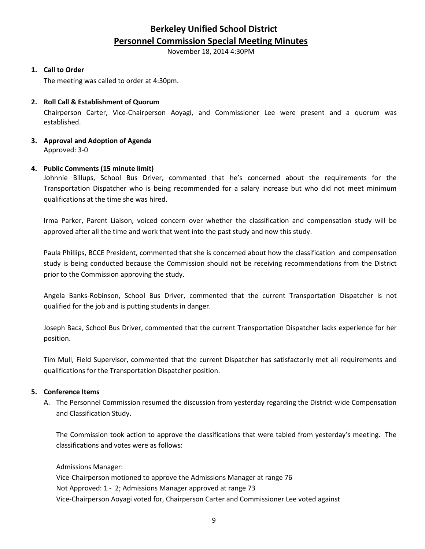# **Berkeley Unified School District Personnel Commission Special Meeting Minutes**

November 18, 2014 4:30PM

#### **1. Call to Order**

The meeting was called to order at 4:30pm.

### **2. Roll Call & Establishment of Quorum**

Chairperson Carter, Vice-Chairperson Aoyagi, and Commissioner Lee were present and a quorum was established.

#### **3. Approval and Adoption of Agenda** Approved: 3-0

#### **4. Public Comments (15 minute limit)**

Johnnie Billups, School Bus Driver, commented that he's concerned about the requirements for the Transportation Dispatcher who is being recommended for a salary increase but who did not meet minimum qualifications at the time she was hired.

Irma Parker, Parent Liaison, voiced concern over whether the classification and compensation study will be approved after all the time and work that went into the past study and now this study.

Paula Phillips, BCCE President, commented that she is concerned about how the classification and compensation study is being conducted because the Commission should not be receiving recommendations from the District prior to the Commission approving the study.

Angela Banks-Robinson, School Bus Driver, commented that the current Transportation Dispatcher is not qualified for the job and is putting students in danger.

Joseph Baca, School Bus Driver, commented that the current Transportation Dispatcher lacks experience for her position.

Tim Mull, Field Supervisor, commented that the current Dispatcher has satisfactorily met all requirements and qualifications for the Transportation Dispatcher position.

#### **5. Conference Items**

A. The Personnel Commission resumed the discussion from yesterday regarding the District-wide Compensation and Classification Study.

The Commission took action to approve the classifications that were tabled from yesterday's meeting. The classifications and votes were as follows:

Admissions Manager:

Vice-Chairperson motioned to approve the Admissions Manager at range 76 Not Approved: 1 - 2; Admissions Manager approved at range 73 Vice-Chairperson Aoyagi voted for, Chairperson Carter and Commissioner Lee voted against